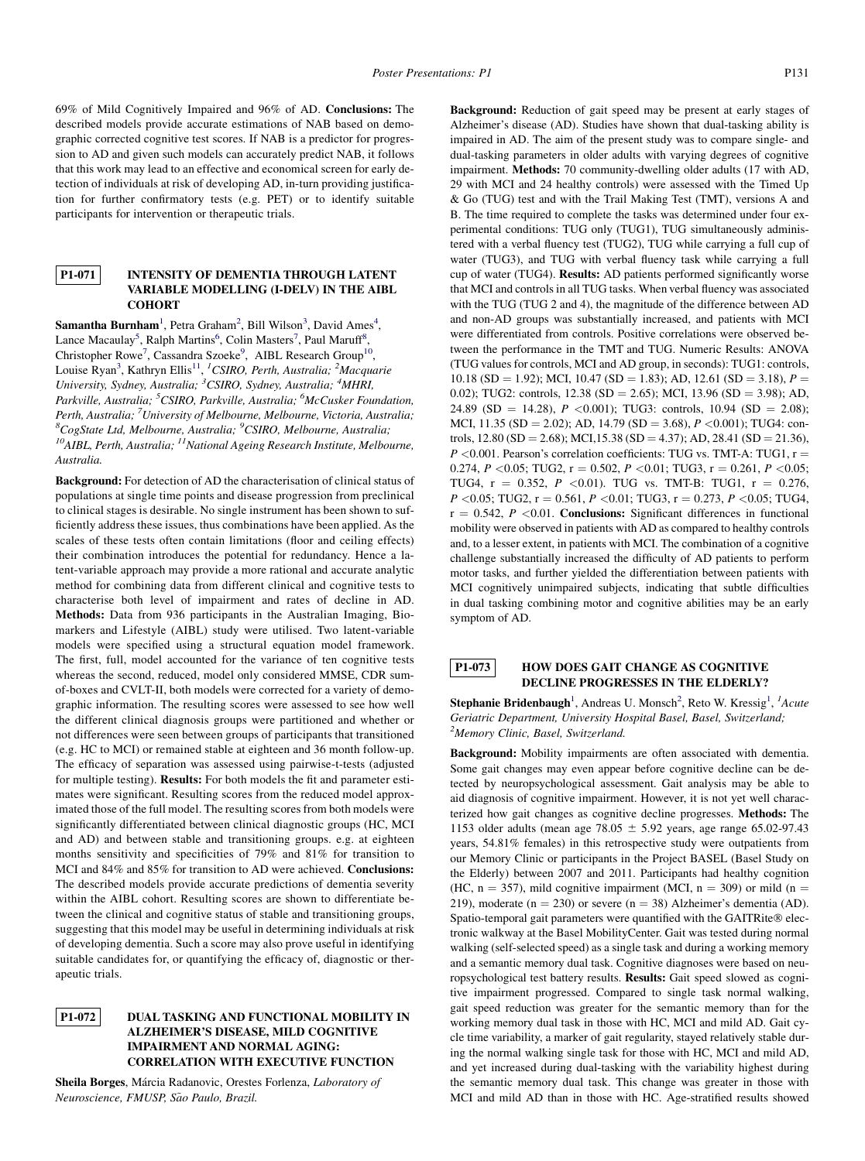69% of Mild Cognitively Impaired and 96% of AD. Conclusions: The described models provide accurate estimations of NAB based on demographic corrected cognitive test scores. If NAB is a predictor for progression to AD and given such models can accurately predict NAB, it follows that this work may lead to an effective and economical screen for early detection of individuals at risk of developing AD, in-turn providing justification for further confirmatory tests (e.g. PET) or to identify suitable participants for intervention or therapeutic trials.

### P1-071 INTENSITY OF DEMENTIA THROUGH LATENT VARIABLE MODELLING (I-DELV) IN THE AIBL **COHORT**

Samantha Burnham<sup>1</sup>, Petra Graham<sup>2</sup>, Bill Wilson<sup>3</sup>, David Ames<sup>4</sup>, Lance Macaulay<sup>5</sup>, Ralph Martins<sup>6</sup>, Colin Masters<sup>7</sup>, Paul Maruff<sup>8</sup>, Christopher Rowe<sup>7</sup>, Cassandra Szoeke<sup>9</sup>, AIBL Research Group<sup>10</sup>, Louise Ryan<sup>3</sup>, Kathryn Ellis<sup>11</sup>, <sup>1</sup>CSIRO, Perth, Australia; <sup>2</sup>Macquarie<br>University, Sydney, Australia; <sup>3</sup>CSIRO, Sydney, Australia; <sup>4</sup>MHRI, Parkville, Australia; <sup>5</sup>CSIRO, Parkville, Australia; <sup>6</sup>McCusker Foundation, Perth, Australia; <sup>7</sup>University of Melbourne, Melbourne, Victoria, Australia;  ${}^{8}CogState$  Ltd, Melbourne, Australia;  ${}^{9}$  $^{10}$ AIBL, Perth, Australia;  $^{11}$ National Ageing Research Institute, Melbourne, Australia.

Background: For detection of AD the characterisation of clinical status of populations at single time points and disease progression from preclinical to clinical stages is desirable. No single instrument has been shown to sufficiently address these issues, thus combinations have been applied. As the scales of these tests often contain limitations (floor and ceiling effects) their combination introduces the potential for redundancy. Hence a latent-variable approach may provide a more rational and accurate analytic method for combining data from different clinical and cognitive tests to characterise both level of impairment and rates of decline in AD. Methods: Data from 936 participants in the Australian Imaging, Biomarkers and Lifestyle (AIBL) study were utilised. Two latent-variable models were specified using a structural equation model framework. The first, full, model accounted for the variance of ten cognitive tests whereas the second, reduced, model only considered MMSE, CDR sumof-boxes and CVLT-II, both models were corrected for a variety of demographic information. The resulting scores were assessed to see how well the different clinical diagnosis groups were partitioned and whether or not differences were seen between groups of participants that transitioned (e.g. HC to MCI) or remained stable at eighteen and 36 month follow-up. The efficacy of separation was assessed using pairwise-t-tests (adjusted for multiple testing). Results: For both models the fit and parameter estimates were significant. Resulting scores from the reduced model approximated those of the full model. The resulting scores from both models were significantly differentiated between clinical diagnostic groups (HC, MCI and AD) and between stable and transitioning groups. e.g. at eighteen months sensitivity and specificities of 79% and 81% for transition to MCI and 84% and 85% for transition to AD were achieved. Conclusions: The described models provide accurate predictions of dementia severity within the AIBL cohort. Resulting scores are shown to differentiate between the clinical and cognitive status of stable and transitioning groups, suggesting that this model may be useful in determining individuals at risk of developing dementia. Such a score may also prove useful in identifying suitable candidates for, or quantifying the efficacy of, diagnostic or therapeutic trials.

# P1-072 DUAL TASKING AND FUNCTIONAL MOBILITY IN ALZHEIMER'S DISEASE, MILD COGNITIVE IMPAIRMENT AND NORMAL AGING: CORRELATION WITH EXECUTIVE FUNCTION

Sheila Borges, Márcia Radanovic, Orestes Forlenza, Laboratory of Neuroscience, FMUSP, São Paulo, Brazil.

Background: Reduction of gait speed may be present at early stages of Alzheimer's disease (AD). Studies have shown that dual-tasking ability is impaired in AD. The aim of the present study was to compare single- and dual-tasking parameters in older adults with varying degrees of cognitive impairment. Methods: 70 community-dwelling older adults (17 with AD, 29 with MCI and 24 healthy controls) were assessed with the Timed Up & Go (TUG) test and with the Trail Making Test (TMT), versions A and B. The time required to complete the tasks was determined under four experimental conditions: TUG only (TUG1), TUG simultaneously administered with a verbal fluency test (TUG2), TUG while carrying a full cup of water (TUG3), and TUG with verbal fluency task while carrying a full cup of water (TUG4). Results: AD patients performed significantly worse that MCI and controls in all TUG tasks. When verbal fluency was associated with the TUG (TUG 2 and 4), the magnitude of the difference between AD and non-AD groups was substantially increased, and patients with MCI were differentiated from controls. Positive correlations were observed between the performance in the TMT and TUG. Numeric Results: ANOVA (TUG values for controls, MCI and AD group, in seconds): TUG1: controls,  $10.18$  (SD = 1.92); MCI, 10.47 (SD = 1.83); AD, 12.61 (SD = 3.18), P = 0.02); TUG2: controls,  $12.38$  (SD = 2.65); MCI,  $13.96$  (SD = 3.98); AD, 24.89 (SD = 14.28),  $P \le 0.001$ ; TUG3: controls, 10.94 (SD = 2.08); MCI, 11.35 (SD = 2.02); AD, 14.79 (SD = 3.68),  $P \le 0.001$ ); TUG4: controls, 12.80 (SD = 2.68); MCI,15.38 (SD = 4.37); AD, 28.41 (SD = 21.36),  $P \le 0.001$ . Pearson's correlation coefficients: TUG vs. TMT-A: TUG1, r = 0.274,  $P < 0.05$ ; TUG2,  $r = 0.502$ ,  $P < 0.01$ ; TUG3,  $r = 0.261$ ,  $P < 0.05$ ; TUG4,  $r = 0.352$ ,  $P < 0.01$ ). TUG vs. TMT-B: TUG1,  $r = 0.276$ ,  $P \le 0.05$ ; TUG2, r = 0.561,  $P \le 0.01$ ; TUG3, r = 0.273,  $P \le 0.05$ ; TUG4,  $r = 0.542$ ,  $P < 0.01$ . Conclusions: Significant differences in functional mobility were observed in patients with AD as compared to healthy controls and, to a lesser extent, in patients with MCI. The combination of a cognitive challenge substantially increased the difficulty of AD patients to perform motor tasks, and further yielded the differentiation between patients with MCI cognitively unimpaired subjects, indicating that subtle difficulties in dual tasking combining motor and cognitive abilities may be an early symptom of AD.

#### P1-073 HOW DOES GAIT CHANGE AS COGNITIVE DECLINE PROGRESSES IN THE ELDERLY?

Stephanie Bridenbaugh<sup>1</sup>, Andreas U. Monsch<sup>2</sup>, Reto W. Kressig<sup>1</sup>, <sup>1</sup>Acute Geriatric Department, University Hospital Basel, Basel, Switzerland; <sup>2</sup>Memory Clinic, Basel, Switzerland.

Background: Mobility impairments are often associated with dementia. Some gait changes may even appear before cognitive decline can be detected by neuropsychological assessment. Gait analysis may be able to aid diagnosis of cognitive impairment. However, it is not yet well characterized how gait changes as cognitive decline progresses. Methods: The 1153 older adults (mean age 78.05  $\pm$  5.92 years, age range 65.02-97.43 years, 54.81% females) in this retrospective study were outpatients from our Memory Clinic or participants in the Project BASEL (Basel Study on the Elderly) between 2007 and 2011. Participants had healthy cognition (HC,  $n = 357$ ), mild cognitive impairment (MCI,  $n = 309$ ) or mild (n = 219), moderate (n = 230) or severe (n = 38) Alzheimer's dementia (AD). Spatio-temporal gait parameters were quantified with the GAITRite® electronic walkway at the Basel MobilityCenter. Gait was tested during normal walking (self-selected speed) as a single task and during a working memory and a semantic memory dual task. Cognitive diagnoses were based on neuropsychological test battery results. Results: Gait speed slowed as cognitive impairment progressed. Compared to single task normal walking, gait speed reduction was greater for the semantic memory than for the working memory dual task in those with HC, MCI and mild AD. Gait cycle time variability, a marker of gait regularity, stayed relatively stable during the normal walking single task for those with HC, MCI and mild AD, and yet increased during dual-tasking with the variability highest during the semantic memory dual task. This change was greater in those with MCI and mild AD than in those with HC. Age-stratified results showed